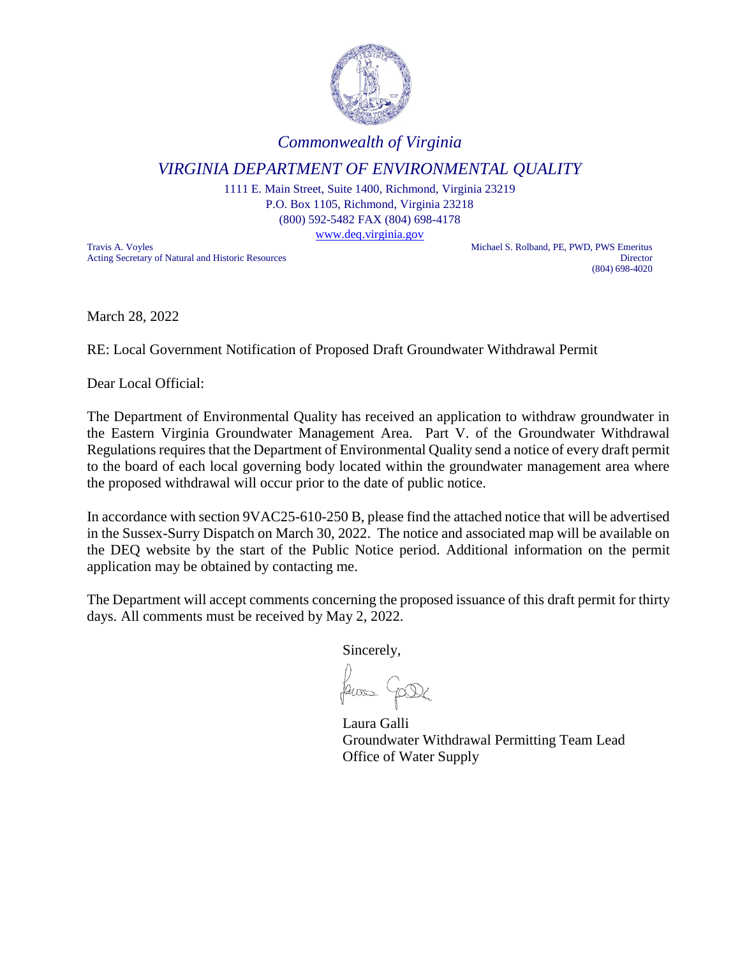

## *Commonwealth of Virginia*

## *VIRGINIA DEPARTMENT OF ENVIRONMENTAL QUALITY*

1111 E. Main Street, Suite 1400, Richmond, Virginia 23219 P.O. Box 1105, Richmond, Virginia 23218 (800) 592-5482 FAX (804) 698-4178

[www.deq.virginia.gov](http://www.deq.virginia.gov/)

Travis A. Voyles<br>
Acting Secretary of Natural and Historic Resources<br>
Director Acting Secretary of Natural and Historic Resources

(804) 698-4020

March 28, 2022

RE: Local Government Notification of Proposed Draft Groundwater Withdrawal Permit

Dear Local Official:

The Department of Environmental Quality has received an application to withdraw groundwater in the Eastern Virginia Groundwater Management Area. Part V. of the Groundwater Withdrawal Regulations requires that the Department of Environmental Quality send a notice of every draft permit to the board of each local governing body located within the groundwater management area where the proposed withdrawal will occur prior to the date of public notice.

In accordance with section 9VAC25-610-250 B, please find the attached notice that will be advertised in the Sussex-Surry Dispatch on March 30, 2022. The notice and associated map will be available on the DEQ website by the start of the Public Notice period. Additional information on the permit application may be obtained by contacting me.

The Department will accept comments concerning the proposed issuance of this draft permit for thirty days. All comments must be received by May 2, 2022.

Sincerely,

Laura Galli Groundwater Withdrawal Permitting Team Lead Office of Water Supply